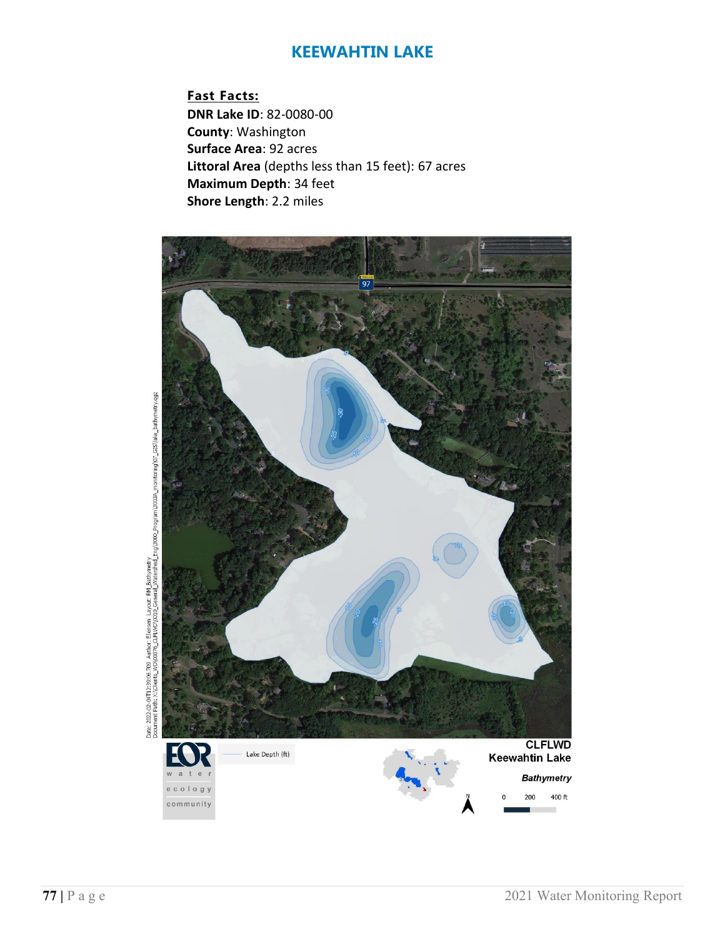**Fast Facts: DNR Lake ID**: 82-0080-00 **County**: Washington **Surface Area**: 92 acres **Littoral Area** (depths less than 15 feet): 67 acres **Maximum Depth**: 34 feet **Shore Length**: 2.2 miles



bae: 2022-02-04T12:35:05.709 Author: Elensen Layout: BN Bathymetry<br>Document Path: X:\Clients\_WD\00376\_CLFUWD\000\_General\_Watershed\_Eng\3000\_Program\3003A\_monitoring\07\_GIS\lake\_bathymetry.qgz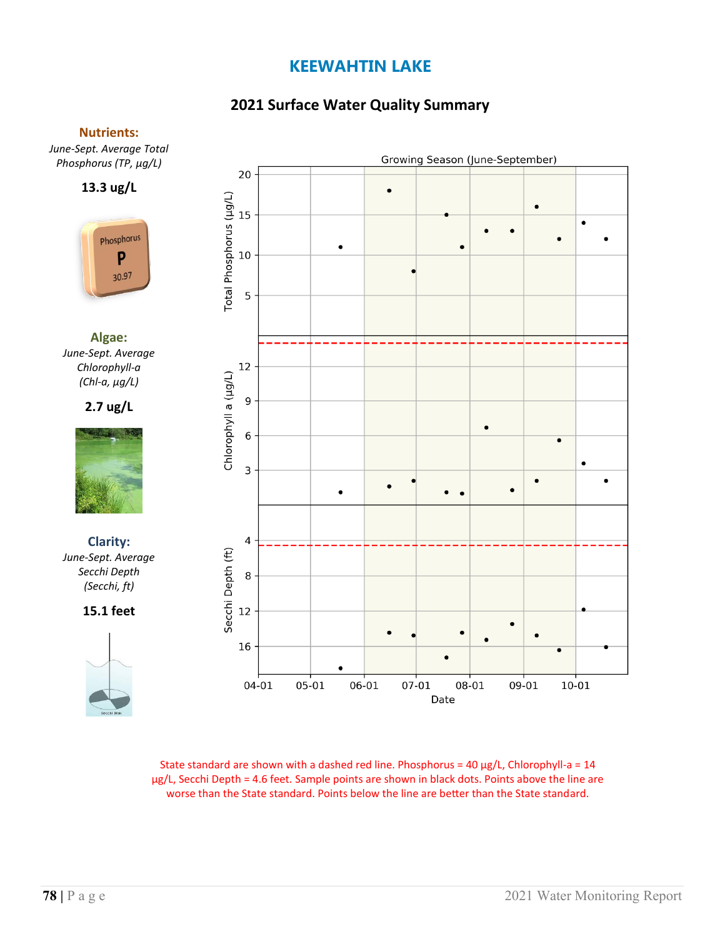# **2021 Surface Water Quality Summary**

### **Nutrients:**

*June-Sept. Average Total Phosphorus (TP, µg/L)*

**13.3 ug/L**



**Algae:** *June-Sept. Average Chlorophyll-a (Chl-a, µg/L)*

**2.7 ug/L**



**Clarity:**  *June-Sept. Average Secchi Depth (Secchi, ft)*

**15.1 feet**



Growing Season (June-September) 20 Total Phosphorus (µg/L) 15  $\bullet$  $\bullet$  $10$ 5 12 Chlorophyll a (µg/L)  $\boldsymbol{9}$  $\,$  6  $\,$  $\overline{\mathbf{3}}$  $\bullet$  $\bullet$  $\bullet$  $\bullet$  $\bullet$  $\pmb{4}$ Secchi Depth (ft) 8  $12\,$  $\bullet$  $\bullet$ 16  $04 - 01$  $07 - 01$ 05-01 06-01 08-01 09-01 10-01 Date

State standard are shown with a dashed red line. Phosphorus =  $40 \mu g/L$ , Chlorophyll-a =  $14$ µg/L, Secchi Depth = 4.6 feet. Sample points are shown in black dots. Points above the line are worse than the State standard. Points below the line are better than the State standard.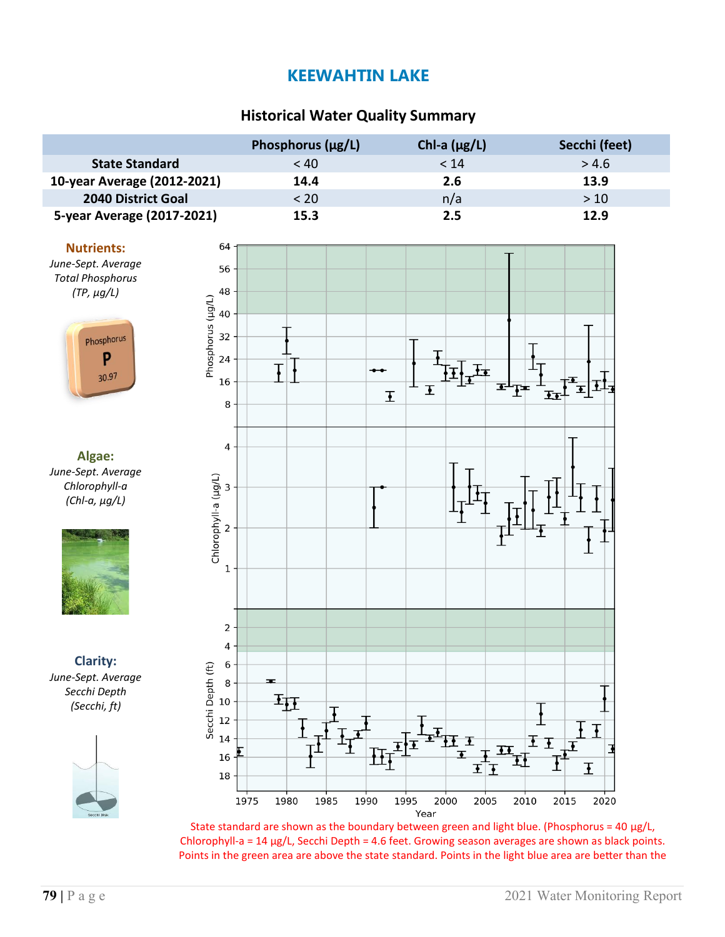# **Historical Water Quality Summary**

|                             | Phosphorus $(\mu g/L)$ | Chl-a $(\mu g/L)$ | Secchi (feet) |
|-----------------------------|------------------------|-------------------|---------------|
| <b>State Standard</b>       | < 40                   | < 14              | > 4.6         |
| 10-year Average (2012-2021) | 14.4                   | 2.6               | 13.9          |
| <b>2040 District Goal</b>   | < 20                   | n/a               | >10           |
| 5-year Average (2017-2021)  | 15.3                   | 2.5               | 12.9          |

#### **Nutrients:**

*June-Sept. Average Total Phosphorus (TP, µg/L)*



**Algae:** *June-Sept. Average Chlorophyll-a (Chl-a, µg/L)*



**Clarity:** *June-Sept. Average Secchi Depth (Secchi, ft)*





State standard are shown as the boundary between green and light blue. (Phosphorus = 40  $\mu$ g/L, Chlorophyll-a =  $14 \mu g/L$ , Secchi Depth = 4.6 feet. Growing season averages are shown as black points. Points in the green area are above the state standard. Points in the light blue area are better than the